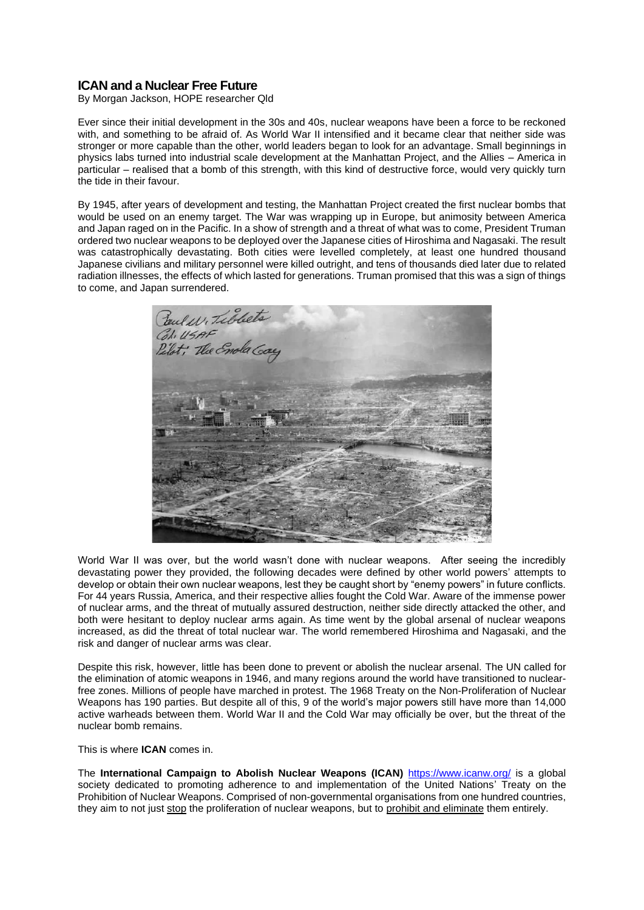## **ICAN and a Nuclear Free Future**

By Morgan Jackson, HOPE researcher Qld

Ever since their initial development in the 30s and 40s, nuclear weapons have been a force to be reckoned with, and something to be afraid of. As World War II intensified and it became clear that neither side was stronger or more capable than the other, world leaders began to look for an advantage. Small beginnings in physics labs turned into industrial scale development at the Manhattan Project, and the Allies – America in particular – realised that a bomb of this strength, with this kind of destructive force, would very quickly turn the tide in their favour.

By 1945, after years of development and testing, the Manhattan Project created the first nuclear bombs that would be used on an enemy target. The War was wrapping up in Europe, but animosity between America and Japan raged on in the Pacific. In a show of strength and a threat of what was to come, President Truman ordered two nuclear weapons to be deployed over the Japanese cities of Hiroshima and Nagasaki. The result was catastrophically devastating. Both cities were levelled completely, at least one hundred thousand Japanese civilians and military personnel were killed outright, and tens of thousands died later due to related radiation illnesses, the effects of which lasted for generations. Truman promised that this was a sign of things to come, and Japan surrendered.



World War II was over, but the world wasn't done with nuclear weapons. After seeing the incredibly devastating power they provided, the following decades were defined by other world powers' attempts to develop or obtain their own nuclear weapons, lest they be caught short by "enemy powers" in future conflicts. For 44 years Russia, America, and their respective allies fought the Cold War. Aware of the immense power of nuclear arms, and the threat of mutually assured destruction, neither side directly attacked the other, and both were hesitant to deploy nuclear arms again. As time went by the global arsenal of nuclear weapons increased, as did the threat of total nuclear war. The world remembered Hiroshima and Nagasaki, and the risk and danger of nuclear arms was clear.

Despite this risk, however, little has been done to prevent or abolish the nuclear arsenal. The UN called for the elimination of atomic weapons in 1946, and many regions around the world have transitioned to nuclearfree zones. Millions of people have marched in protest. The 1968 Treaty on the Non-Proliferation of Nuclear Weapons has 190 parties. But despite all of this, 9 of the world's major powers still have more than 14,000 active warheads between them. World War II and the Cold War may officially be over, but the threat of the nuclear bomb remains.

This is where **ICAN** comes in.

The **International Campaign to Abolish Nuclear Weapons (ICAN)** <https://www.icanw.org/> is a global society dedicated to promoting adherence to and implementation of the United Nations' Treaty on the Prohibition of Nuclear Weapons. Comprised of non-governmental organisations from one hundred countries, they aim to not just stop the proliferation of nuclear weapons, but to prohibit and eliminate them entirely.